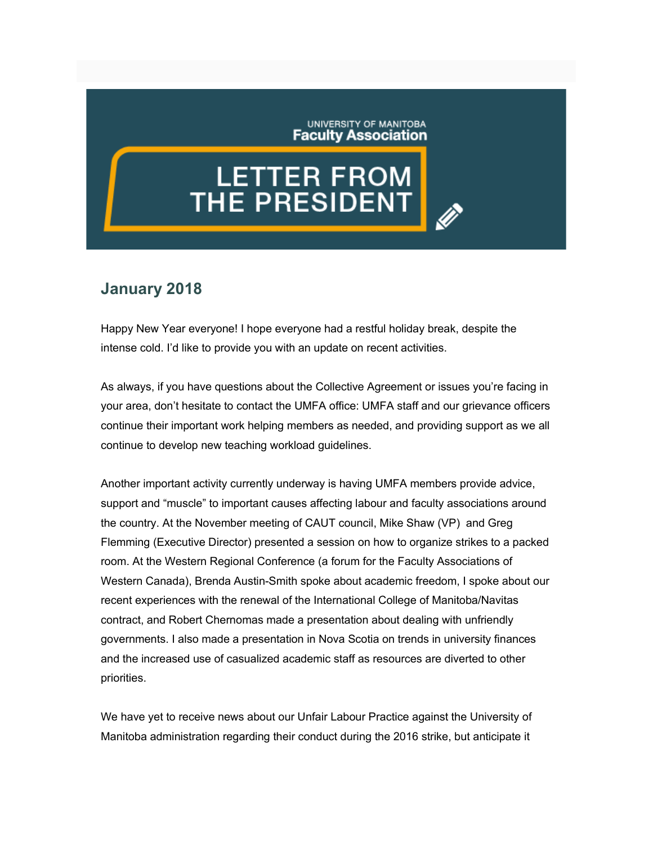UNIVERSITY OF MANITOBA **Faculty Association** 

## **LETTER FROM**<br>THE PRESIDENT

## **January 2018**

Happy New Year everyone! I hope everyone had a restful holiday break, despite the intense cold. I'd like to provide you with an update on recent activities.

As always, if you have questions about the Collective Agreement or issues you're facing in your area, don't hesitate to contact the UMFA office: UMFA staff and our grievance officers continue their important work helping members as needed, and providing support as we all continue to develop new teaching workload guidelines.

Another important activity currently underway is having UMFA members provide advice, support and "muscle" to important causes affecting labour and faculty associations around the country. At the November meeting of CAUT council, Mike Shaw (VP) and Greg Flemming (Executive Director) presented a session on how to organize strikes to a packed room. At the Western Regional Conference (a forum for the Faculty Associations of Western Canada), Brenda Austin-Smith spoke about academic freedom, I spoke about our recent experiences with the renewal of the International College of Manitoba/Navitas contract, and Robert Chernomas made a presentation about dealing with unfriendly governments. I also made a presentation in Nova Scotia on trends in university finances and the increased use of casualized academic staff as resources are diverted to other priorities.

We have yet to receive news about our Unfair Labour Practice against the University of Manitoba administration regarding their conduct during the 2016 strike, but anticipate it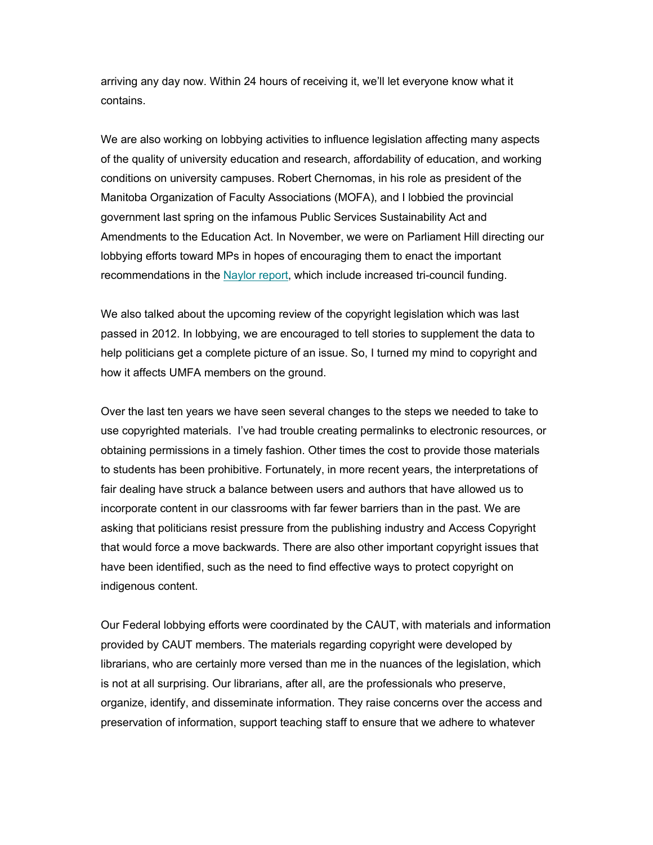arriving any day now. Within 24 hours of receiving it, we'll let everyone know what it contains.

We are also working on lobbying activities to influence legislation affecting many aspects of the quality of university education and research, affordability of education, and working conditions on university campuses. Robert Chernomas, in his role as president of the Manitoba Organization of Faculty Associations (MOFA), and I lobbied the provincial government last spring on the infamous Public Services Sustainability Act and Amendments to the Education Act. In November, we were on Parliament Hill directing our lobbying efforts toward MPs in hopes of encouraging them to enact the important recommendations in the [Naylor report,](http://www.sciencereview.ca/eic/site/059.nsf/eng/home) which include increased tri-council funding.

We also talked about the upcoming review of the copyright legislation which was last passed in 2012. In lobbying, we are encouraged to tell stories to supplement the data to help politicians get a complete picture of an issue. So, I turned my mind to copyright and how it affects UMFA members on the ground.

Over the last ten years we have seen several changes to the steps we needed to take to use copyrighted materials. I've had trouble creating permalinks to electronic resources, or obtaining permissions in a timely fashion. Other times the cost to provide those materials to students has been prohibitive. Fortunately, in more recent years, the interpretations of fair dealing have struck a balance between users and authors that have allowed us to incorporate content in our classrooms with far fewer barriers than in the past. We are asking that politicians resist pressure from the publishing industry and Access Copyright that would force a move backwards. There are also other important copyright issues that have been identified, such as the need to find effective ways to protect copyright on indigenous content.

Our Federal lobbying efforts were coordinated by the CAUT, with materials and information provided by CAUT members. The materials regarding copyright were developed by librarians, who are certainly more versed than me in the nuances of the legislation, which is not at all surprising. Our librarians, after all, are the professionals who preserve, organize, identify, and disseminate information. They raise concerns over the access and preservation of information, support teaching staff to ensure that we adhere to whatever